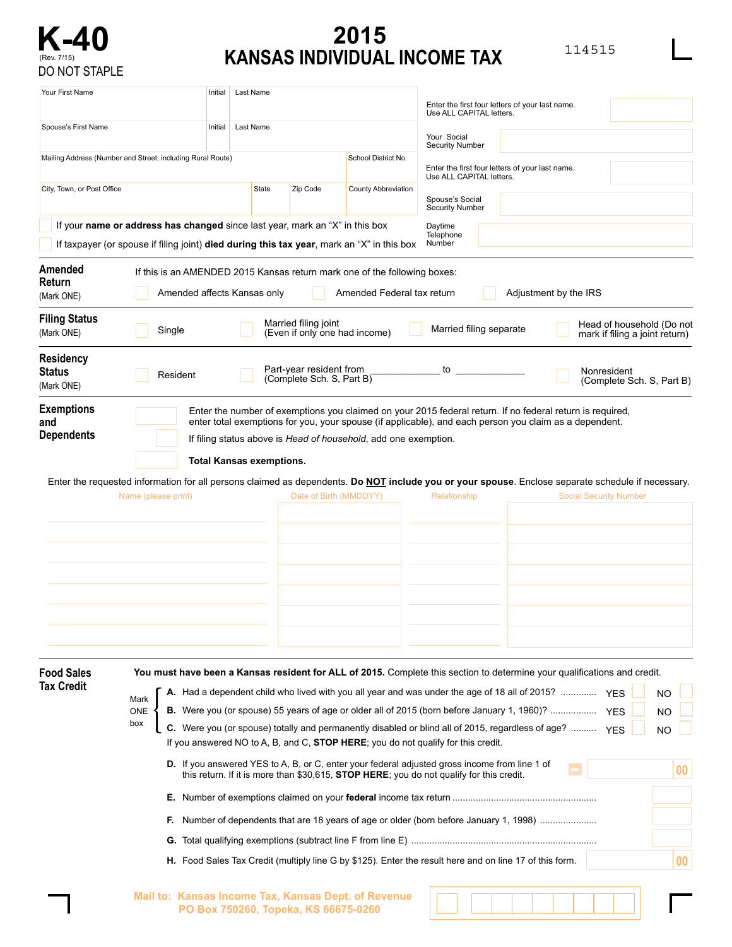

## **K-40 2015**<br> **KANSAS INDIVIDUAL INCOME TAX**

| ۰, |
|----|
|----|

| Your First Name<br>Spouse's First Name                     |                                                                                                                                                                            | Initial | Last Name                       |                                                      |                                                                 | Enter the first four letters of your last name.<br>Use ALL CAPITAL letters.                                                                                                                                                                                                                                                                                                                                                                                                                                                                                                                                                                                                                                                                                                                                                              |                                                         |  |  |  |
|------------------------------------------------------------|----------------------------------------------------------------------------------------------------------------------------------------------------------------------------|---------|---------------------------------|------------------------------------------------------|-----------------------------------------------------------------|------------------------------------------------------------------------------------------------------------------------------------------------------------------------------------------------------------------------------------------------------------------------------------------------------------------------------------------------------------------------------------------------------------------------------------------------------------------------------------------------------------------------------------------------------------------------------------------------------------------------------------------------------------------------------------------------------------------------------------------------------------------------------------------------------------------------------------------|---------------------------------------------------------|--|--|--|
|                                                            |                                                                                                                                                                            | Initial | Last Name                       |                                                      |                                                                 | Your Social                                                                                                                                                                                                                                                                                                                                                                                                                                                                                                                                                                                                                                                                                                                                                                                                                              |                                                         |  |  |  |
| Mailing Address (Number and Street, including Rural Route) |                                                                                                                                                                            |         |                                 |                                                      | School District No.                                             | <b>Security Number</b><br>Enter the first four letters of your last name.<br>Use ALL CAPITAL letters.                                                                                                                                                                                                                                                                                                                                                                                                                                                                                                                                                                                                                                                                                                                                    |                                                         |  |  |  |
| City, Town, or Post Office                                 |                                                                                                                                                                            |         | State                           | Zip Code                                             | <b>County Abbreviation</b>                                      | Spouse's Social<br><b>Security Number</b>                                                                                                                                                                                                                                                                                                                                                                                                                                                                                                                                                                                                                                                                                                                                                                                                |                                                         |  |  |  |
|                                                            | If your name or address has changed since last year, mark an "X" in this box<br>If taxpayer (or spouse if filing joint) died during this tax year, mark an "X" in this box |         |                                 |                                                      |                                                                 | Daytime<br>Telephone<br>Number                                                                                                                                                                                                                                                                                                                                                                                                                                                                                                                                                                                                                                                                                                                                                                                                           |                                                         |  |  |  |
| Amended<br>Return<br>(Mark ONE)                            | If this is an AMENDED 2015 Kansas return mark one of the following boxes:<br>Amended affects Kansas only<br>Amended Federal tax return<br>Adjustment by the IRS            |         |                                 |                                                      |                                                                 |                                                                                                                                                                                                                                                                                                                                                                                                                                                                                                                                                                                                                                                                                                                                                                                                                                          |                                                         |  |  |  |
| <b>Filing Status</b><br>(Mark ONE)                         | Married filing joint<br>Head of household (Do not<br>Married filing separate<br>Single<br>(Even if only one had income)<br>mark if filing a joint return)                  |         |                                 |                                                      |                                                                 |                                                                                                                                                                                                                                                                                                                                                                                                                                                                                                                                                                                                                                                                                                                                                                                                                                          |                                                         |  |  |  |
| <b>Residency</b><br><b>Status</b><br>(Mark ONE)            | Resident                                                                                                                                                                   |         |                                 | Part-year resident from<br>(Complete Sch. S, Part B) |                                                                 | to                                                                                                                                                                                                                                                                                                                                                                                                                                                                                                                                                                                                                                                                                                                                                                                                                                       | Nonresident<br>(Complete Sch. S, Part B)                |  |  |  |
| <b>Dependents</b>                                          | Name (please print)                                                                                                                                                        |         | <b>Total Kansas exemptions.</b> | Date of Birth (MMDDYY)                               | If filing status above is Head of household, add one exemption. | Enter the requested information for all persons claimed as dependents. Do NOT include you or your spouse. Enclose separate schedule if necessary.<br>Relationship                                                                                                                                                                                                                                                                                                                                                                                                                                                                                                                                                                                                                                                                        | <b>Social Security Number</b>                           |  |  |  |
| <b>Food Sales</b><br><b>Tax Credit</b>                     | Mark<br><b>ONE</b><br>box<br>F.                                                                                                                                            |         |                                 |                                                      |                                                                 | You must have been a Kansas resident for ALL of 2015. Complete this section to determine your qualifications and credit.<br>A. Had a dependent child who lived with you all year and was under the age of 18 all of 2015?  YES<br>B. Were you (or spouse) 55 years of age or older all of 2015 (born before January 1, 1960)?<br>C. Were you (or spouse) totally and permanently disabled or blind all of 2015, regardless of age?  YES<br>If you answered NO to A, B, and C, <b>STOP HERE</b> ; you do not qualify for this credit.<br><b>D.</b> If you answered YES to A, B, or C, enter your federal adjusted gross income from line 1 of<br>this return. If it is more than \$30,615, <b>STOP HERE</b> ; you do not qualify for this credit.<br>Number of dependents that are 18 years of age or older (born before January 1, 1998) | <b>NO</b><br><b>NO</b><br><b>YES</b><br><b>NO</b><br>00 |  |  |  |
|                                                            |                                                                                                                                                                            |         |                                 |                                                      |                                                                 | H. Food Sales Tax Credit (multiply line G by \$125). Enter the result here and on line 17 of this form.                                                                                                                                                                                                                                                                                                                                                                                                                                                                                                                                                                                                                                                                                                                                  | 00                                                      |  |  |  |

|                                      | Mail to: Kansas Income Tax, Kansas Dept. of Revenue |
|--------------------------------------|-----------------------------------------------------|
| PO Box 750260, Topeka, KS 66675-0260 |                                                     |